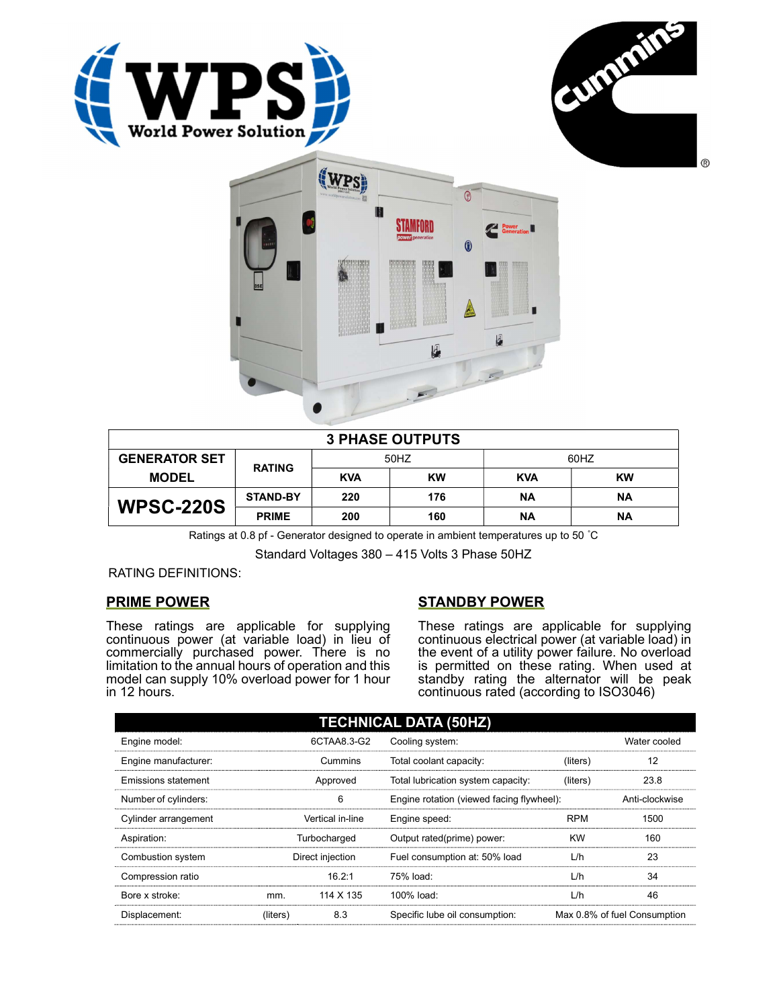





| <b>3 PHASE OUTPUTS</b> |                 |            |           |            |           |  |
|------------------------|-----------------|------------|-----------|------------|-----------|--|
| <b>GENERATOR SET</b>   | <b>RATING</b>   | 50HZ       |           | 60HZ       |           |  |
| <b>MODEL</b>           |                 | <b>KVA</b> | <b>KW</b> | <b>KVA</b> | <b>KW</b> |  |
| <b>WPSC-220S</b>       | <b>STAND-BY</b> | 220        | 176       | ΝA         | ΝA        |  |
|                        | <b>PRIME</b>    | 200        | 160       | ΝA         | ΝA        |  |

Ratings at 0.8 pf - Generator designed to operate in ambient temperatures up to 50 °C

Standard Voltages 380 – 415 Volts 3 Phase 50HZ

RATING DEFINITIONS:

## PRIME POWER

These ratings are applicable for supplying continuous power (at variable load) in lieu of commercially purchased power. There is no limitation to the annual hours of operation and this model can supply 10% overload power for 1 hour in 12 hours.

## STANDBY POWER

These ratings are applicable for supplying continuous electrical power (at variable load) in the event of a utility power failure. No overload is permitted on these rating. When used at standby rating the alternator will be peak continuous rated (according to ISO3046)

| <b>TECHNICAL DATA (50HZ)</b> |                  |                  |                                           |            |                              |  |  |
|------------------------------|------------------|------------------|-------------------------------------------|------------|------------------------------|--|--|
| Engine model:                |                  | 6CTAA8.3-G2      | Cooling system:                           |            | Water cooled                 |  |  |
| Engine manufacturer:         |                  | Cummins          | Total coolant capacity:                   | (liters)   | 12                           |  |  |
| Emissions statement          | Approved         |                  | Total lubrication system capacity:        | (liters)   | 23.8                         |  |  |
| Number of cylinders:         | 6                |                  | Engine rotation (viewed facing flywheel): |            | Anti-clockwise               |  |  |
| Cylinder arrangement         |                  | Vertical in-line | Engine speed:                             | <b>RPM</b> | 1500                         |  |  |
| Aspiration:                  | Turbocharged     |                  | Output rated(prime) power:                | <b>KW</b>  | 160                          |  |  |
| Combustion system            | Direct injection |                  | Fuel consumption at: 50% load             | L/h        | 23                           |  |  |
| Compression ratio            |                  | 16.2:1           | 75% load:                                 | L/h        | 34                           |  |  |
| Bore x stroke:               | mm.              | 114 X 135        | $100\%$ load:                             | L/h        | 46                           |  |  |
| Displacement:                | (liters)         | 8.3              | Specific lube oil consumption:            |            | Max 0.8% of fuel Consumption |  |  |